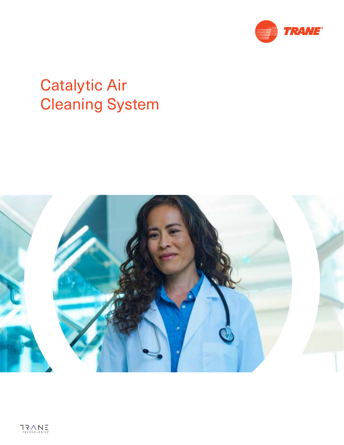

# Catalytic Air Cleaning System

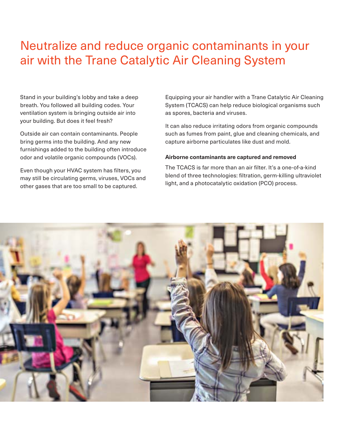# Neutralize and reduce organic contaminants in your air with the Trane Catalytic Air Cleaning System

Stand in your building's lobby and take a deep breath. You followed all building codes. Your ventilation system is bringing outside air into your building. But does it feel fresh?

Outside air can contain contaminants. People bring germs into the building. And any new furnishings added to the building often introduce odor and volatile organic compounds (VOCs).

Even though your HVAC system has filters, you may still be circulating germs, viruses, VOCs and other gases that are too small to be captured.

Equipping your air handler with a Trane Catalytic Air Cleaning System (TCACS) can help reduce biological organisms such as spores, bacteria and viruses.

It can also reduce irritating odors from organic compounds such as fumes from paint, glue and cleaning chemicals, and capture airborne particulates like dust and mold.

#### **Airborne contaminants are captured and removed**

The TCACS is far more than an air filter. It's a one-of-a-kind blend of three technologies: filtration, germ-killing ultraviolet light, and a photocatalytic oxidation (PCO) process.

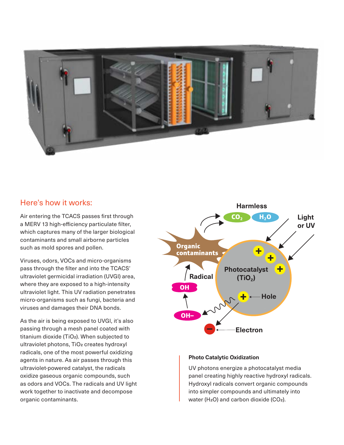

### Here's how it works:

Air entering the TCACS passes first through a MERV 13 high-efficiency particulate filter, which captures many of the larger biological contaminants and small airborne particles such as mold spores and pollen.

Viruses, odors, VOCs and micro-organisms pass through the filter and into the TCACS' ultraviolet germicidal irradiation (UVGI) area, where they are exposed to a high-intensity ultraviolet light. This UV radiation penetrates micro-organisms such as fungi, bacteria and viruses and damages their DNA bonds.

As the air is being exposed to UVGI, it's also passing through a mesh panel coated with titanium dioxide (TiO2). When subjected to ultraviolet photons, TiO<sub>2</sub> creates hydroxyl radicals, one of the most powerful oxidizing agents in nature. As air passes through this ultraviolet-powered catalyst, the radicals oxidize gaseous organic compounds, such as odors and VOCs. The radicals and UV light work together to inactivate and decompose organic contaminants.



#### **Photo Catalytic Oxidization**

UV photons energize a photocatalyst media panel creating highly reactive hydroxyl radicals. Hydroxyl radicals convert organic compounds into simpler compounds and ultimately into water (H<sub>2</sub>O) and carbon dioxide (CO<sub>2</sub>).